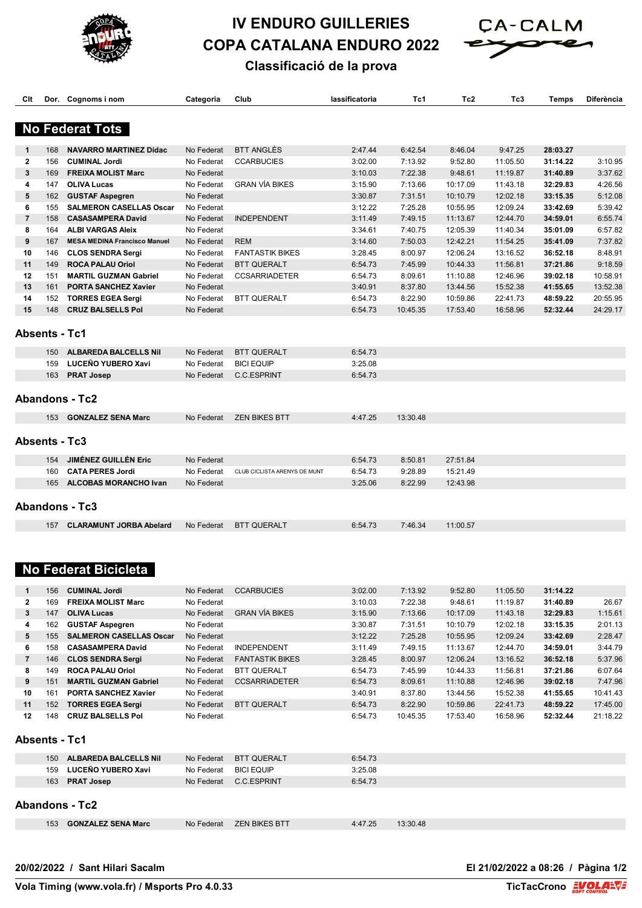

## **IV ENDURO GUILLERIES COPA CATALANA ENDURO 2022**



## **Classificació de la prova**

| Clt            |     | Dor. Cognoms i nom                  | Categoria  | Club                         | lassificatoria | Tc1      | Tc <sub>2</sub> | Tc3      | Temps    | Diferència |
|----------------|-----|-------------------------------------|------------|------------------------------|----------------|----------|-----------------|----------|----------|------------|
|                |     |                                     |            |                              |                |          |                 |          |          |            |
|                |     |                                     |            |                              |                |          |                 |          |          |            |
|                |     | <b>No Federat Tots</b>              |            |                              |                |          |                 |          |          |            |
| 1              | 168 | <b>NAVARRO MARTINEZ Dídac</b>       | No Federat | <b>BTT ANGLÈS</b>            | 2:47.44        | 6:42.54  | 8:46.04         | 9:47.25  | 28:03.27 |            |
| $\mathbf{2}$   | 156 | <b>CUMINAL Jordi</b>                | No Federat | <b>CCARBUCIES</b>            | 3:02.00        | 7:13.92  | 9:52.80         | 11:05.50 | 31:14.22 | 3:10.95    |
| 3              | 169 | <b>FREIXA MOLIST Marc</b>           | No Federat |                              | 3:10.03        | 7:22.38  | 9:48.61         | 11:19.87 | 31:40.89 | 3:37.62    |
| 4              | 147 | <b>OLIVA Lucas</b>                  | No Federat | <b>GRAN VÍA BIKES</b>        | 3:15.90        | 7:13.66  | 10:17.09        | 11:43.18 | 32:29.83 | 4:26.56    |
| 5              | 162 | <b>GUSTAF Aspegren</b>              | No Federat |                              | 3:30.87        | 7:31.51  | 10:10.79        | 12:02.18 | 33:15.35 | 5:12.08    |
| 6              | 155 | <b>SALMERON CASELLAS Oscar</b>      | No Federat |                              | 3:12.22        | 7:25.28  | 10:55.95        | 12:09.24 | 33:42.69 | 5:39.42    |
| $\overline{7}$ | 158 | <b>CASASAMPERA David</b>            | No Federat | <b>INDEPENDENT</b>           | 3:11.49        | 7:49.15  | 11:13.67        | 12:44.70 | 34:59.01 | 6:55.74    |
| 8              | 164 | <b>ALBI VARGAS Aleix</b>            | No Federat |                              | 3:34.61        | 7:40.75  | 12:05.39        | 11:40.34 | 35:01.09 | 6:57.82    |
| 9              | 167 | <b>MESA MEDINA Francisco Manuel</b> | No Federat | <b>REM</b>                   | 3:14.60        | 7:50.03  | 12:42.21        | 11:54.25 | 35:41.09 | 7:37.82    |
| 10             | 146 | <b>CLOS SENDRA Sergi</b>            | No Federat | <b>FANTASTIK BIKES</b>       | 3:28.45        | 8:00.97  | 12:06.24        | 13:16.52 | 36:52.18 | 8:48.91    |
| 11             | 149 | <b>ROCA PALAU Oriol</b>             | No Federat | <b>BTT QUERALT</b>           | 6:54.73        | 7:45.99  | 10:44.33        | 11:56.81 | 37:21.86 | 9:18.59    |
| 12             | 151 | <b>MARTIL GUZMAN Gabriel</b>        | No Federat | <b>CCSARRIADETER</b>         | 6:54.73        | 8:09.61  | 11:10.88        | 12:46.96 | 39:02.18 | 10:58.91   |
| 13             | 161 | <b>PORTA SANCHEZ Xavier</b>         | No Federat |                              | 3:40.91        | 8:37.80  | 13:44.56        | 15:52.38 | 41:55.65 | 13:52.38   |
| 14             | 152 | <b>TORRES EGEA Sergi</b>            | No Federat | <b>BTT QUERALT</b>           | 6:54.73        | 8:22.90  | 10:59.86        | 22:41.73 | 48:59.22 | 20:55.95   |
| 15             | 148 | <b>CRUZ BALSELLS Pol</b>            | No Federat |                              | 6:54.73        | 10:45.35 | 17:53.40        | 16:58.96 | 52:32.44 | 24:29.17   |
|                |     |                                     |            |                              |                |          |                 |          |          |            |
|                |     | <b>Absents - Tc1</b>                |            |                              |                |          |                 |          |          |            |
|                |     |                                     |            |                              |                |          |                 |          |          |            |
|                | 150 | <b>ALBAREDA BALCELLS Nil</b>        | No Federat | <b>BTT QUERALT</b>           | 6:54.73        |          |                 |          |          |            |
|                | 159 | LUCEÑO YUBERO Xavi                  | No Federat | <b>BICI EQUIP</b>            | 3:25.08        |          |                 |          |          |            |
|                | 163 | <b>PRAT Josep</b>                   | No Federat | C.C.ESPRINT                  | 6:54.73        |          |                 |          |          |            |
|                |     |                                     |            |                              |                |          |                 |          |          |            |
|                |     | <b>Abandons - Tc2</b>               |            |                              |                |          |                 |          |          |            |
|                |     |                                     |            |                              |                |          |                 |          |          |            |
|                | 153 | <b>GONZALEZ SENA Marc</b>           | No Federat | <b>ZEN BIKES BTT</b>         | 4:47.25        | 13:30.48 |                 |          |          |            |
|                |     |                                     |            |                              |                |          |                 |          |          |            |
|                |     | <b>Absents - Tc3</b>                |            |                              |                |          |                 |          |          |            |
|                |     |                                     |            |                              |                |          |                 |          |          |            |
|                | 154 | <b>JIMÉNEZ GUILLÉN Eric</b>         | No Federat |                              | 6:54.73        | 8:50.81  | 27:51.84        |          |          |            |
|                | 160 | <b>CATA PERES Jordi</b>             | No Federat | CLUB CICLISTA ARENYS DE MUNT | 6:54.73        | 9:28.89  | 15:21.49        |          |          |            |
|                | 165 | <b>ALCOBAS MORANCHO Ivan</b>        | No Federat |                              | 3:25.06        | 8:22.99  | 12:43.98        |          |          |            |
|                |     |                                     |            |                              |                |          |                 |          |          |            |
|                |     | <b>Abandons - Tc3</b>               |            |                              |                |          |                 |          |          |            |
|                |     | <b>CLARAMUNT JORBA Abelard</b>      | No Federat | <b>BTT QUERALT</b>           | 6:54.73        | 7:46.34  | 11:00.57        |          |          |            |
|                | 157 |                                     |            |                              |                |          |                 |          |          |            |
|                |     |                                     |            |                              |                |          |                 |          |          |            |
|                |     |                                     |            |                              |                |          |                 |          |          |            |
|                |     | <b>No Federat Bicicleta</b>         |            |                              |                |          |                 |          |          |            |
|                |     |                                     |            |                              |                |          |                 |          |          |            |
| 1              | 156 | <b>CUMINAL Jordi</b>                | No Federat | <b>CCARBUCIES</b>            | 3:02.00        | 7:13.92  | 9:52.80         | 11:05.50 | 31:14.22 |            |
| $\mathbf{2}$   | 169 | <b>FREIXA MOLIST Marc</b>           | No Federat |                              | 3:10.03        | 7:22.38  | 9:48.61         | 11:19.87 | 31:40.89 | 26.67      |
| 3              | 147 | <b>OLIVA Lucas</b>                  | No Federat | <b>GRAN VIA BIKES</b>        | 3:15.90        | 7:13.66  | 10:17.09        | 11:43.18 | 32:29.83 | 1:15.61    |
| 4              | 162 | <b>GUSTAF Aspegren</b>              | No Federat |                              | 3:30.87        | 7:31.51  | 10:10.79        | 12:02.18 | 33:15.35 | 2:01.13    |
| 5              | 155 | <b>SALMERON CASELLAS Oscar</b>      | No Federat |                              | 3:12.22        | 7:25.28  | 10:55.95        | 12:09.24 | 33:42.69 | 2:28.47    |
| 6              | 158 | <b>CASASAMPERA David</b>            | No Federat | <b>INDEPENDENT</b>           | 3:11.49        | 7:49.15  | 11:13.67        | 12:44.70 | 34:59.01 | 3:44.79    |
| 7              | 146 | <b>CLOS SENDRA Sergi</b>            | No Federat | <b>FANTASTIK BIKES</b>       | 3:28.45        | 8:00.97  | 12:06.24        | 13:16.52 | 36:52.18 | 5:37.96    |
| 8              | 149 | <b>ROCA PALAU Oriol</b>             | No Federat | BTT QUERALT                  | 6:54.73        | 7:45.99  | 10:44.33        | 11:56.81 | 37:21.86 | 6:07.64    |
| 9              | 151 |                                     | No Federat | <b>CCSARRIADETER</b>         |                |          |                 |          |          |            |
|                |     | <b>MARTIL GUZMAN Gabriel</b>        |            |                              | 6:54.73        | 8:09.61  | 11:10.88        | 12:46.96 | 39:02.18 | 7:47.96    |
| 10             | 161 | <b>PORTA SANCHEZ Xavier</b>         | No Federat |                              | 3:40.91        | 8:37.80  | 13:44.56        | 15:52.38 | 41:55.65 | 10:41.43   |
| 11             | 152 | <b>TORRES EGEA Sergi</b>            | No Federat | <b>BTT QUERALT</b>           | 6:54.73        | 8:22.90  | 10:59.86        | 22:41.73 | 48:59.22 | 17:45.00   |
| 12             | 148 | <b>CRUZ BALSELLS Pol</b>            | No Federat |                              | 6:54.73        | 10:45.35 | 17:53.40        | 16:58.96 | 52:32.44 | 21:18.22   |
|                |     |                                     |            |                              |                |          |                 |          |          |            |
|                |     | <b>Absents - Tc1</b>                |            |                              |                |          |                 |          |          |            |
|                |     | 150 ALBAREDA BALCELLS Nil           | No Federat | <b>BTT QUERALT</b>           | 6:54.73        |          |                 |          |          |            |
|                |     |                                     |            |                              |                |          |                 |          |          |            |
|                | 159 | <b>LUCENO YUBERO Xavi</b>           | No Federat | <b>BICI EQUIP</b>            | 3:25.08        |          |                 |          |          |            |
|                | 163 | <b>PRAT Josep</b>                   | No Federat | C.C.ESPRINT                  | 6:54.73        |          |                 |          |          |            |
|                |     |                                     |            |                              |                |          |                 |          |          |            |
|                |     | <b>Abandons - Tc2</b>               |            |                              |                |          |                 |          |          |            |
|                |     | 153 GONZALEZ SENA Marc              | No Federat | <b>ZEN BIKES BTT</b>         | 4:47.25        | 13:30.48 |                 |          |          |            |
|                |     |                                     |            |                              |                |          |                 |          |          |            |
|                |     |                                     |            |                              |                |          |                 |          |          |            |

**20/02/2022 / Sant Hilari Sacalm El 21/02/2022 a 08:26 / Pàgina 1/2**